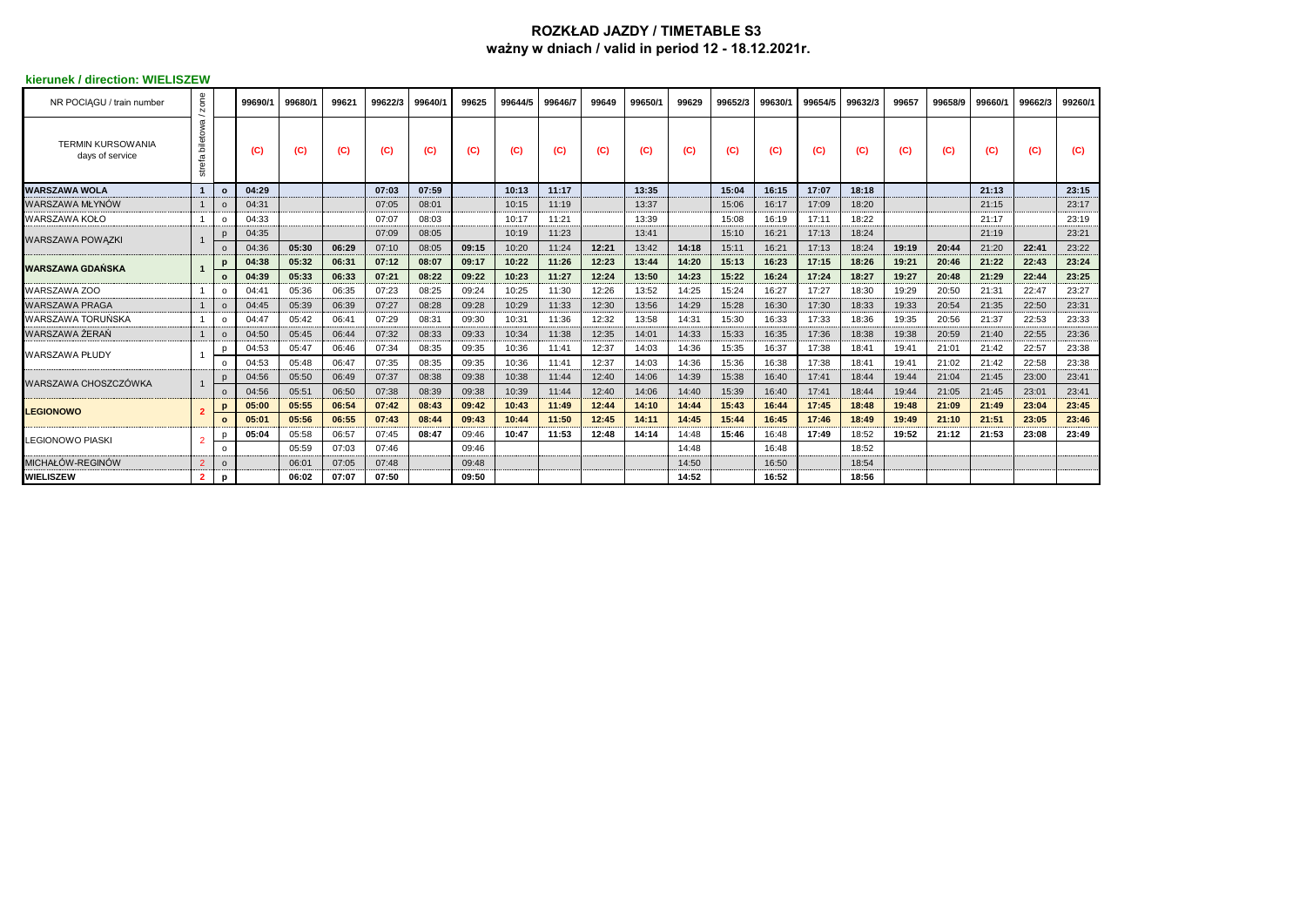## **ROZKŁAD JAZDY / TIMETABLE S3 ważny w dniach / valid in period 12 - 18.12.2021r.**

## **kierunek / direction: WIELISZEW**

| NR POCIAGU / train number                   | zone<br>∼           |          | 99690/1 | 99680/1 | 99621 | 99622/3 | 99640/1 | 99625 | 99644/5 | 99646/7 | 99649 | 99650/1 | 99629 | 99652/3 | 99630/ | 99654/5 | 99632/3 | 99657 | 99658/9 | 99660/1 | 99662/3 | 99260/1 |
|---------------------------------------------|---------------------|----------|---------|---------|-------|---------|---------|-------|---------|---------|-------|---------|-------|---------|--------|---------|---------|-------|---------|---------|---------|---------|
| <b>TERMIN KURSOWANIA</b><br>days of service | biletowa<br>strefal |          | (C)     | (C)     | (C)   | (C)     | (C)     | (C)   | (C)     | (C)     | (C)   | (C)     | (C)   | (C)     | (C)    | (C)     | (C)     | (C)   | (C)     | (C)     | (C)     | (C)     |
| <b>WARSZAWA WOLA</b>                        | $\mathbf{1}$        | $\Omega$ | 04:29   |         |       | 07:03   | 07:59   |       | 10:13   | 11:17   |       | 13:35   |       | 15:04   | 16:15  | 17:07   | 18:18   |       |         | 21:13   |         | 23:15   |
| <b>WARSZAWA MŁYNÓW</b>                      |                     | c        | 04:31   |         |       | 07:05   | 08:01   |       | 10:15   | 11:19   |       | 13:37   |       | 15:06   | 16:17  | 17:09   | 18:20   |       |         | 21:15   |         | 23:17   |
| WARSZAWA KOŁO                               |                     |          | 04:33   |         |       | 07:07   | 08:03   |       | 10:17   | 11:21   |       | 13:39   |       | 15:08   | 16:19  | 17:11   | 18:22   |       |         | 21:17   |         | 23:19   |
| <b>WARSZAWA POWAZKI</b>                     |                     |          | 04:35   |         |       | 07:09   | 08:05   |       | 10:19   | 11:23   |       | 13:41   |       | 15:10   | 16:21  | 17:13   | 18:24   |       |         | 21:19   |         | 23:21   |
|                                             |                     |          | 04:36   | 05:30   | 06:29 | 07:10   | 08:05   | 09:15 | 10:20   | 11:24   | 12:21 | 13:42   | 14:18 | 15:11   | 16:21  | 17:13   | 18:24   | 19:19 | 20:44   | 21:20   | 22:41   | 23:22   |
| <b>WARSZAWA GDAŃSKA</b>                     |                     |          | 04:38   | 05:32   | 06:31 | 07:12   | 08:07   | 09:17 | 10:22   | 11:26   | 12:23 | 13:44   | 14:20 | 15:13   | 16:23  | 17:15   | 18:26   | 19:21 | 20:46   | 21:22   | 22:43   | 23:24   |
|                                             |                     | $\Omega$ | 04:39   | 05:33   | 06:33 | 07:21   | 08:22   | 09:22 | 10:23   | 11:27   | 12:24 | 13:50   | 14:23 | 15:22   | 16:24  | 17:24   | 18:27   | 19:27 | 20:48   | 21:29   | 22:44   | 23:25   |
| WARSZAWA ZOO                                |                     | o        | 04:41   | 05:36   | 06:35 | 07:23   | 08:25   | 09:24 | 10:25   | 11:30   | 12:26 | 13:52   | 14:25 | 15:24   | 16:27  | 17:27   | 18:30   | 19:29 | 20:50   | 21:31   | 22:47   | 23:27   |
| <b>WARSZAWA PRAGA</b>                       |                     |          | 04:45   | 05:39   | 06:39 | 07:27   | 08:28   | 09:28 | 10:29   | 11:33   | 12:30 | 13:56   | 14:29 | 15:28   | 16:30  | 17:30   | 18:33   | 19:33 | 20:54   | 21:35   | 22:50   | 23:31   |
| WARSZAWA TORUŃSKA                           |                     |          | 04:47   | 05:42   | 06:41 | 07:29   | 08:31   | 09:30 | 10:31   | 11:36   | 12:32 | 13:58   | 14:31 | 15:30   | 16:33  | 17:33   | 18:36   | 19:35 | 20:56   | 21:37   | 22:53   | 23:33   |
| WARSZAWA ŻERAŃ                              |                     |          | 04:50   | 05:45   | 06:44 | 07:32   | 08:33   | 09:33 | 10:34   | 11:38   | 12:35 | 14:01   | 14:33 | 15:33   | 16:35  | 17:36   | 18:38   | 19:38 | 20:59   | 21:40   | 22:55   | 23:36   |
| <b>WARSZAWA PŁUDY</b>                       |                     |          | 04:53   | 05:47   | 06:46 | 07:34   | 08:35   | 09:35 | 10:36   | 11:41   | 12:37 | 14:03   | 14:36 | 15:35   | 16:37  | 17:38   | 18:41   | 19:41 | 21:01   | 21:42   | 22:57   | 23:38   |
|                                             |                     | C        | 04:53   | 05:48   | 06:47 | 07:35   | 08:35   | 09:35 | 10:36   | 11:41   | 12:37 | 14:03   | 14:36 | 15:36   | 16:38  | 17:38   | 18:41   | 19:41 | 21:02   | 21:42   | 22:58   | 23:38   |
| WARSZAWA CHOSZCZÓWKA                        |                     |          | 04:56   | 05:50   | 06:49 | 07:37   | 08:38   | 09:38 | 10:38   | 11:44   | 12:40 | 14:06   | 14:39 | 15:38   | 16:40  | 17:41   | 18:44   | 19:44 | 21:04   | 21:45   | 23:00   | 23:41   |
|                                             |                     |          | 04:56   | 05:51   | 06:50 | 07:38   | 08:39   | 09:38 | 10:39   | 11:44   | 12:40 | 14:06   | 14:40 | 15:39   | 16:40  | 17:41   | 18:44   | 19:44 | 21:05   | 21:45   | 23:01   | 23:41   |
| <b>LEGIONOWO</b>                            | $\overline{2}$      |          | 05:00   | 05:55   | 06:54 | 07:42   | 08:43   | 09:42 | 10:43   | 11:49   | 12:44 | 14:10   | 14:44 | 15:43   | 16:44  | 17:45   | 18:48   | 19:48 | 21:09   | 21:49   | 23:04   | 23:45   |
|                                             |                     | $\Omega$ | 05:01   | 05:56   | 06:55 | 07:43   | 08:44   | 09:43 | 10:44   | 11:50   | 12:45 | 14:11   | 14:45 | 15:44   | 16:45  | 17:46   | 18:49   | 19:49 | 21:10   | 21:51   | 23:05   | 23:46   |
| <b>LEGIONOWO PIASKI</b>                     | $\overline{2}$      |          | 05:04   | 05:58   | 06:57 | 07:45   | 08:47   | 09:46 | 10:47   | 11:53   | 12:48 | 14:14   | 14:48 | 15:46   | 16:48  | 17:49   | 18:52   | 19:52 | 21:12   | 21:53   | 23:08   | 23:49   |
|                                             |                     | $\Omega$ |         | 05:59   | 07:03 | 07:46   |         | 09:46 |         |         |       |         | 14:48 |         | 16:48  |         | 18:52   |       |         |         |         |         |
| MICHAŁÓW-REGINÓW                            | $\overline{2}$      | $\Omega$ |         | 06:01   | 07:05 | 07:48   |         | 09:48 |         |         |       |         | 14:50 |         | 16:50  |         | 18:54   |       |         |         |         |         |
| <b>WIELISZEW</b>                            | $\overline{2}$      | p        |         | 06:02   | 07:07 | 07:50   |         | 09:50 |         |         |       |         | 14:52 |         | 16:52  |         | 18:56   |       |         |         |         |         |